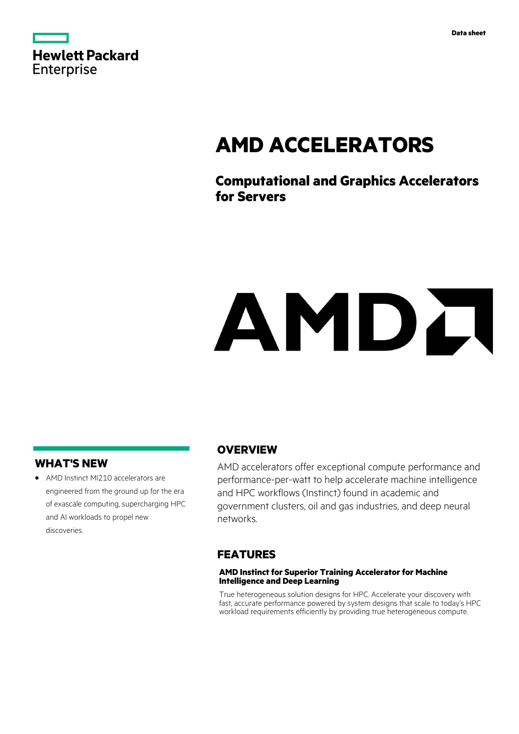

# **AMD ACCELERATORS**

# **Computational and Graphics Accelerators for Servers**

# AMDA

# **WHAT'S NEW**

**·** AMD Instinct MI210 accelerators are engineered from the ground up for the era of exascale computing, supercharging HPC and AI workloads to propel new discoveries.

# **OVERVIEW**

AMD accelerators offer exceptional compute performance and performance-per-watt to help accelerate machine intelligence and HPC workflows (Instinct) found in academic and government clusters, oil and gas industries, and deep neural networks.

## **FEATURES**

#### **AMD Instinct for Superior Training Accelerator for Machine Intelligence and Deep Learning**

True heterogeneous solution designs for HPC. Accelerate your discovery with fast, accurate performance powered by system designs that scale to today's HPC workload requirements efficiently by providing true heterogeneous compute.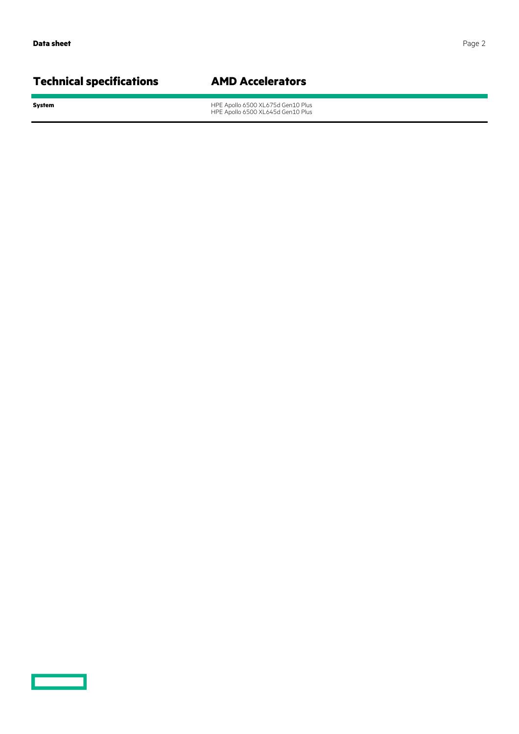# **Technical specifications AMD Accelerators**

<u>and the second</u>

**System** HPE Apollo 6500 XL675d Gen10 Plus HPE Apollo 6500 XL645d Gen10 Plus